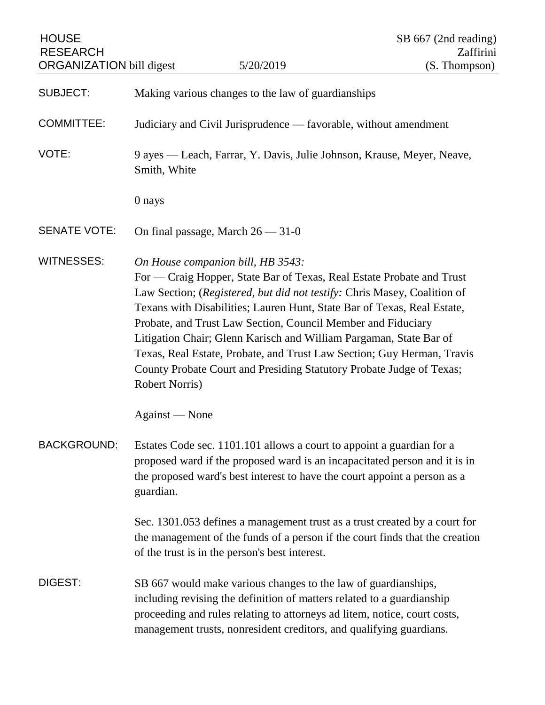| <b>HOUSE</b><br><b>RESEARCH</b><br><b>ORGANIZATION bill digest</b> |                                                                  | 5/20/2019                                                                                                                                                                                                                                                                                                                                                                                                                                                                                                                                                 | SB 667 (2nd reading)<br>Zaffirini<br>(S. Thompson) |
|--------------------------------------------------------------------|------------------------------------------------------------------|-----------------------------------------------------------------------------------------------------------------------------------------------------------------------------------------------------------------------------------------------------------------------------------------------------------------------------------------------------------------------------------------------------------------------------------------------------------------------------------------------------------------------------------------------------------|----------------------------------------------------|
| <b>SUBJECT:</b>                                                    |                                                                  | Making various changes to the law of guardianships                                                                                                                                                                                                                                                                                                                                                                                                                                                                                                        |                                                    |
| <b>COMMITTEE:</b>                                                  | Judiciary and Civil Jurisprudence — favorable, without amendment |                                                                                                                                                                                                                                                                                                                                                                                                                                                                                                                                                           |                                                    |
| VOTE:                                                              | Smith, White                                                     | 9 ayes — Leach, Farrar, Y. Davis, Julie Johnson, Krause, Meyer, Neave,                                                                                                                                                                                                                                                                                                                                                                                                                                                                                    |                                                    |
|                                                                    | 0 nays                                                           |                                                                                                                                                                                                                                                                                                                                                                                                                                                                                                                                                           |                                                    |
| <b>SENATE VOTE:</b>                                                |                                                                  | On final passage, March $26 - 31 - 0$                                                                                                                                                                                                                                                                                                                                                                                                                                                                                                                     |                                                    |
| <b>WITNESSES:</b>                                                  | Robert Norris)                                                   | On House companion bill, HB 3543:<br>For — Craig Hopper, State Bar of Texas, Real Estate Probate and Trust<br>Law Section; (Registered, but did not testify: Chris Masey, Coalition of<br>Texans with Disabilities; Lauren Hunt, State Bar of Texas, Real Estate,<br>Probate, and Trust Law Section, Council Member and Fiduciary<br>Litigation Chair; Glenn Karisch and William Pargaman, State Bar of<br>Texas, Real Estate, Probate, and Trust Law Section; Guy Herman, Travis<br>County Probate Court and Presiding Statutory Probate Judge of Texas; |                                                    |
|                                                                    | Against — None                                                   |                                                                                                                                                                                                                                                                                                                                                                                                                                                                                                                                                           |                                                    |
| <b>BACKGROUND:</b>                                                 | guardian.                                                        | Estates Code sec. 1101.101 allows a court to appoint a guardian for a<br>proposed ward if the proposed ward is an incapacitated person and it is in<br>the proposed ward's best interest to have the court appoint a person as a                                                                                                                                                                                                                                                                                                                          |                                                    |
|                                                                    |                                                                  | Sec. 1301.053 defines a management trust as a trust created by a court for<br>the management of the funds of a person if the court finds that the creation<br>of the trust is in the person's best interest.                                                                                                                                                                                                                                                                                                                                              |                                                    |
| DIGEST:                                                            |                                                                  | SB 667 would make various changes to the law of guardianships,<br>including revising the definition of matters related to a guardianship<br>proceeding and rules relating to attorneys ad litem, notice, court costs,<br>management trusts, nonresident creditors, and qualifying guardians.                                                                                                                                                                                                                                                              |                                                    |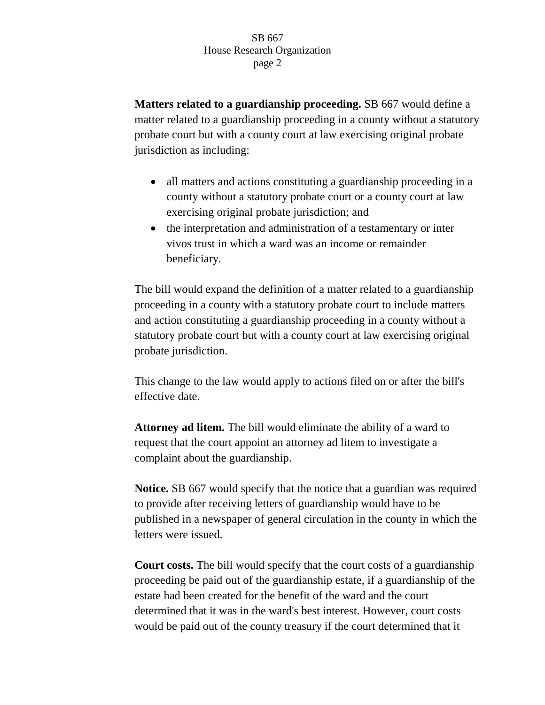**Matters related to a guardianship proceeding.** SB 667 would define a matter related to a guardianship proceeding in a county without a statutory probate court but with a county court at law exercising original probate jurisdiction as including:

- all matters and actions constituting a guardianship proceeding in a county without a statutory probate court or a county court at law exercising original probate jurisdiction; and
- the interpretation and administration of a testamentary or inter vivos trust in which a ward was an income or remainder beneficiary.

The bill would expand the definition of a matter related to a guardianship proceeding in a county with a statutory probate court to include matters and action constituting a guardianship proceeding in a county without a statutory probate court but with a county court at law exercising original probate jurisdiction.

This change to the law would apply to actions filed on or after the bill's effective date.

**Attorney ad litem.** The bill would eliminate the ability of a ward to request that the court appoint an attorney ad litem to investigate a complaint about the guardianship.

**Notice.** SB 667 would specify that the notice that a guardian was required to provide after receiving letters of guardianship would have to be published in a newspaper of general circulation in the county in which the letters were issued.

**Court costs.** The bill would specify that the court costs of a guardianship proceeding be paid out of the guardianship estate, if a guardianship of the estate had been created for the benefit of the ward and the court determined that it was in the ward's best interest. However, court costs would be paid out of the county treasury if the court determined that it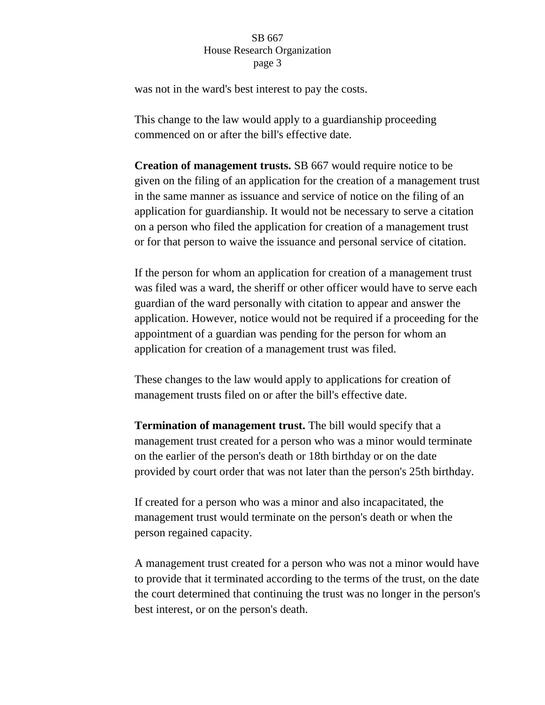was not in the ward's best interest to pay the costs.

This change to the law would apply to a guardianship proceeding commenced on or after the bill's effective date.

**Creation of management trusts.** SB 667 would require notice to be given on the filing of an application for the creation of a management trust in the same manner as issuance and service of notice on the filing of an application for guardianship. It would not be necessary to serve a citation on a person who filed the application for creation of a management trust or for that person to waive the issuance and personal service of citation.

If the person for whom an application for creation of a management trust was filed was a ward, the sheriff or other officer would have to serve each guardian of the ward personally with citation to appear and answer the application. However, notice would not be required if a proceeding for the appointment of a guardian was pending for the person for whom an application for creation of a management trust was filed.

These changes to the law would apply to applications for creation of management trusts filed on or after the bill's effective date.

**Termination of management trust.** The bill would specify that a management trust created for a person who was a minor would terminate on the earlier of the person's death or 18th birthday or on the date provided by court order that was not later than the person's 25th birthday.

If created for a person who was a minor and also incapacitated, the management trust would terminate on the person's death or when the person regained capacity.

A management trust created for a person who was not a minor would have to provide that it terminated according to the terms of the trust, on the date the court determined that continuing the trust was no longer in the person's best interest, or on the person's death.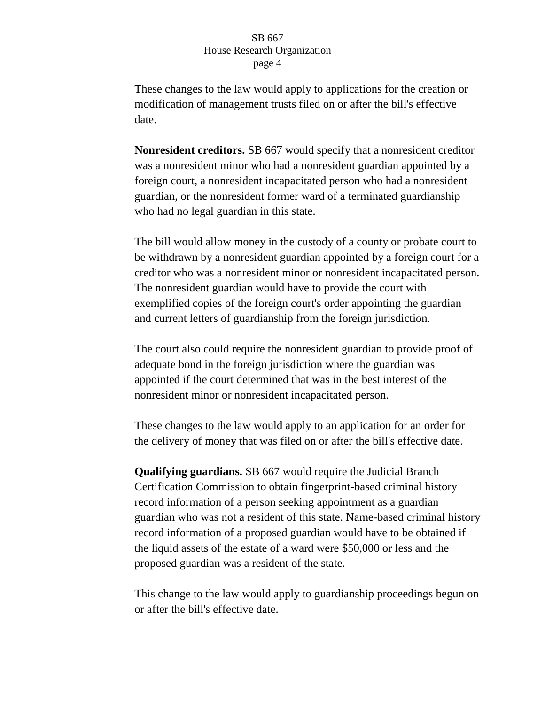These changes to the law would apply to applications for the creation or modification of management trusts filed on or after the bill's effective date.

**Nonresident creditors.** SB 667 would specify that a nonresident creditor was a nonresident minor who had a nonresident guardian appointed by a foreign court, a nonresident incapacitated person who had a nonresident guardian, or the nonresident former ward of a terminated guardianship who had no legal guardian in this state.

The bill would allow money in the custody of a county or probate court to be withdrawn by a nonresident guardian appointed by a foreign court for a creditor who was a nonresident minor or nonresident incapacitated person. The nonresident guardian would have to provide the court with exemplified copies of the foreign court's order appointing the guardian and current letters of guardianship from the foreign jurisdiction.

The court also could require the nonresident guardian to provide proof of adequate bond in the foreign jurisdiction where the guardian was appointed if the court determined that was in the best interest of the nonresident minor or nonresident incapacitated person.

These changes to the law would apply to an application for an order for the delivery of money that was filed on or after the bill's effective date.

**Qualifying guardians.** SB 667 would require the Judicial Branch Certification Commission to obtain fingerprint-based criminal history record information of a person seeking appointment as a guardian guardian who was not a resident of this state. Name-based criminal history record information of a proposed guardian would have to be obtained if the liquid assets of the estate of a ward were \$50,000 or less and the proposed guardian was a resident of the state.

This change to the law would apply to guardianship proceedings begun on or after the bill's effective date.